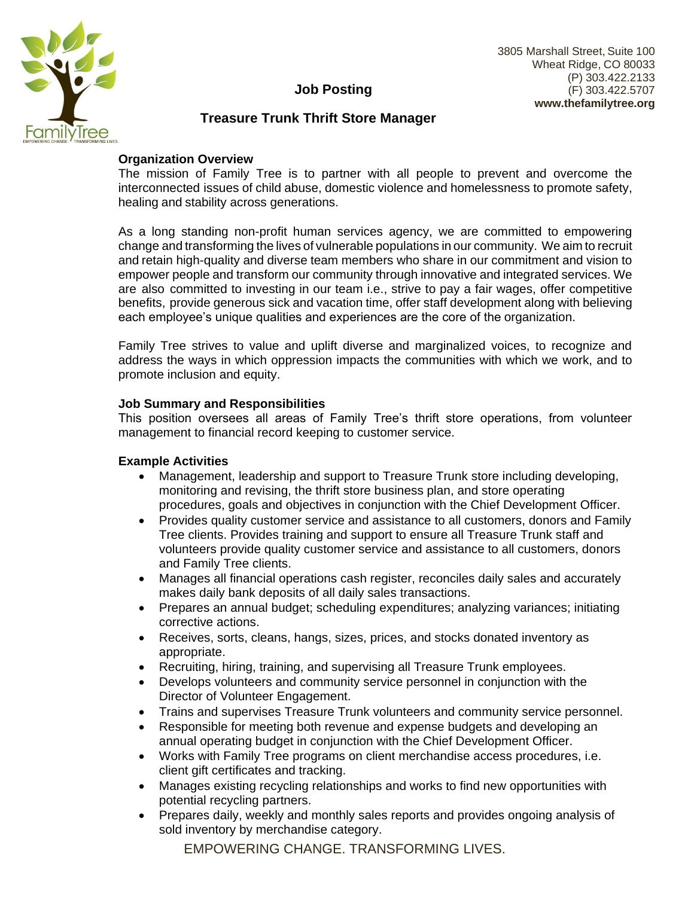

# **Job Posting**

# **Treasure Trunk Thrift Store Manager**

### **Organization Overview**

The mission of Family Tree is to partner with all people to prevent and overcome the interconnected issues of child abuse, domestic violence and homelessness to promote safety, healing and stability across generations.

As a long standing non-profit human services agency, we are committed to empowering change and transforming the lives of vulnerable populations in our community. We aim to recruit and retain high-quality and diverse team members who share in our commitment and vision to empower people and transform our community through innovative and integrated services. We are also committed to investing in our team i.e., strive to pay a fair wages, offer competitive benefits, provide generous sick and vacation time, offer staff development along with believing each employee's unique qualities and experiences are the core of the organization.

Family Tree strives to value and uplift diverse and marginalized voices, to recognize and address the ways in which oppression impacts the communities with which we work, and to promote inclusion and equity.

#### **Job Summary and Responsibilities**

This position oversees all areas of Family Tree's thrift store operations, from volunteer management to financial record keeping to customer service.

#### **Example Activities**

- Management, leadership and support to Treasure Trunk store including developing, monitoring and revising, the thrift store business plan, and store operating procedures, goals and objectives in conjunction with the Chief Development Officer.
- Provides quality customer service and assistance to all customers, donors and Family Tree clients. Provides training and support to ensure all Treasure Trunk staff and volunteers provide quality customer service and assistance to all customers, donors and Family Tree clients.
- Manages all financial operations cash register, reconciles daily sales and accurately makes daily bank deposits of all daily sales transactions.
- Prepares an annual budget; scheduling expenditures; analyzing variances; initiating corrective actions.
- Receives, sorts, cleans, hangs, sizes, prices, and stocks donated inventory as appropriate.
- Recruiting, hiring, training, and supervising all Treasure Trunk employees.
- Develops volunteers and community service personnel in conjunction with the Director of Volunteer Engagement.
- Trains and supervises Treasure Trunk volunteers and community service personnel.
- Responsible for meeting both revenue and expense budgets and developing an annual operating budget in conjunction with the Chief Development Officer.
- Works with Family Tree programs on client merchandise access procedures, i.e. client gift certificates and tracking.
- Manages existing recycling relationships and works to find new opportunities with potential recycling partners.
- Prepares daily, weekly and monthly sales reports and provides ongoing analysis of sold inventory by merchandise category.

EMPOWERING CHANGE. TRANSFORMING LIVES.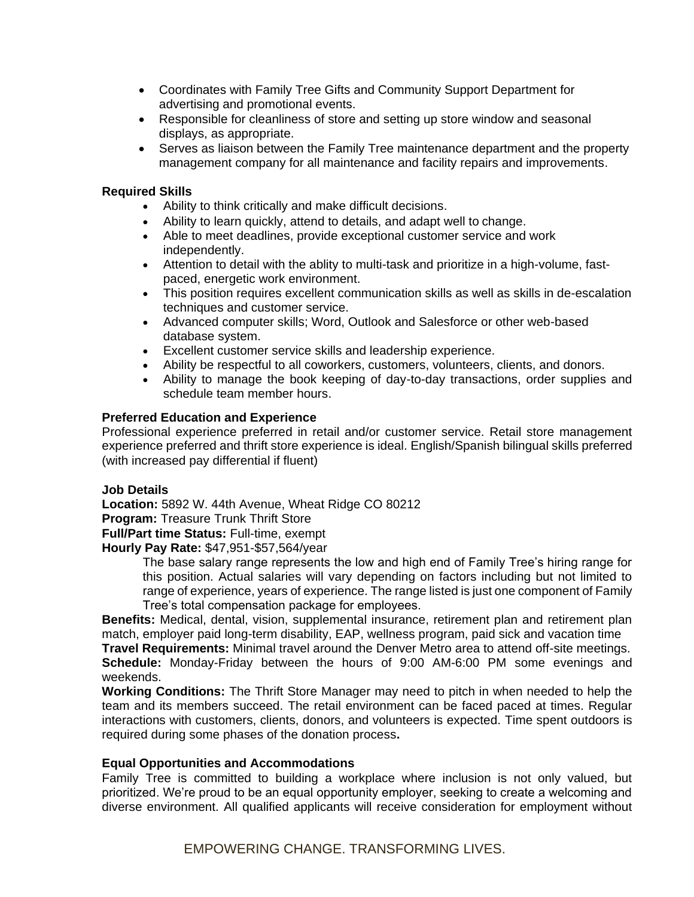- Coordinates with Family Tree Gifts and Community Support Department for advertising and promotional events.
- Responsible for cleanliness of store and setting up store window and seasonal displays, as appropriate.
- Serves as liaison between the Family Tree maintenance department and the property management company for all maintenance and facility repairs and improvements.

#### **Required Skills**

- Ability to think critically and make difficult decisions.
- Ability to learn quickly, attend to details, and adapt well to change.
- Able to meet deadlines, provide exceptional customer service and work independently.
- Attention to detail with the ablity to multi-task and prioritize in a high-volume, fastpaced, energetic work environment.
- This position requires excellent communication skills as well as skills in de-escalation techniques and customer service.
- Advanced computer skills; Word, Outlook and Salesforce or other web-based database system.
- Excellent customer service skills and leadership experience.
- Ability be respectful to all coworkers, customers, volunteers, clients, and donors.
- Ability to manage the book keeping of day-to-day transactions, order supplies and schedule team member hours.

### **Preferred Education and Experience**

Professional experience preferred in retail and/or customer service. Retail store management experience preferred and thrift store experience is ideal. English/Spanish bilingual skills preferred (with increased pay differential if fluent)

#### **Job Details**

**Location:** 5892 W. 44th Avenue, Wheat Ridge CO 80212

**Program:** Treasure Trunk Thrift Store

**Full/Part time Status:** Full-time, exempt

**Hourly Pay Rate:** \$47,951-\$57,564/year

The base salary range represents the low and high end of Family Tree's hiring range for this position. Actual salaries will vary depending on factors including but not limited to range of experience, years of experience. The range listed is just one component of Family Tree's total compensation package for employees.

**Benefits:** Medical, dental, vision, supplemental insurance, retirement plan and retirement plan match, employer paid long-term disability, EAP, wellness program, paid sick and vacation time

**Travel Requirements:** Minimal travel around the Denver Metro area to attend off-site meetings. **Schedule:** Monday-Friday between the hours of 9:00 AM-6:00 PM some evenings and weekends.

**Working Conditions:** The Thrift Store Manager may need to pitch in when needed to help the team and its members succeed. The retail environment can be faced paced at times. Regular interactions with customers, clients, donors, and volunteers is expected. Time spent outdoors is required during some phases of the donation process**.**

## **Equal Opportunities and Accommodations**

Family Tree is committed to building a workplace where inclusion is not only valued, but prioritized. We're proud to be an equal opportunity employer, seeking to create a welcoming and diverse environment. All qualified applicants will receive consideration for employment without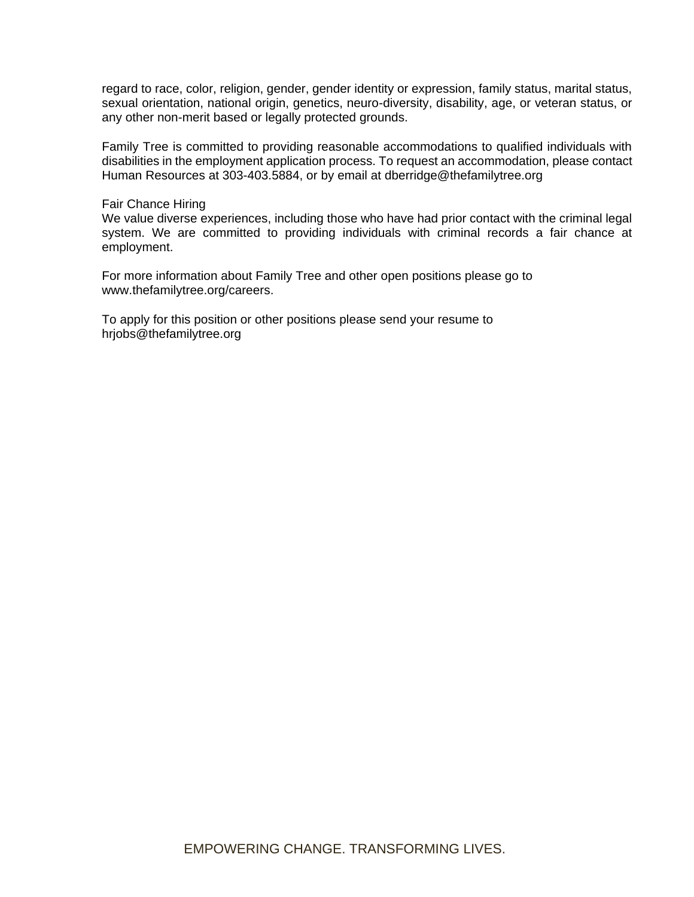regard to race, color, religion, gender, gender identity or expression, family status, marital status, sexual orientation, national origin, genetics, neuro-diversity, disability, age, or veteran status, or any other non-merit based or legally protected grounds.

Family Tree is committed to providing reasonable accommodations to qualified individuals with disabilities in the employment application process. To request an accommodation, please contact Human Resources at 303-403.5884, or by email at dberridge@thefamilytree.org

#### Fair Chance Hiring

We value diverse experiences, including those who have had prior contact with the criminal legal system. We are committed to providing individuals with criminal records a fair chance at employment.

For more information about Family Tree and other open positions please go to www.thefamilytree.org/careers.

To apply for this position or other positions please send your resume to hrjobs@thefamilytree.org